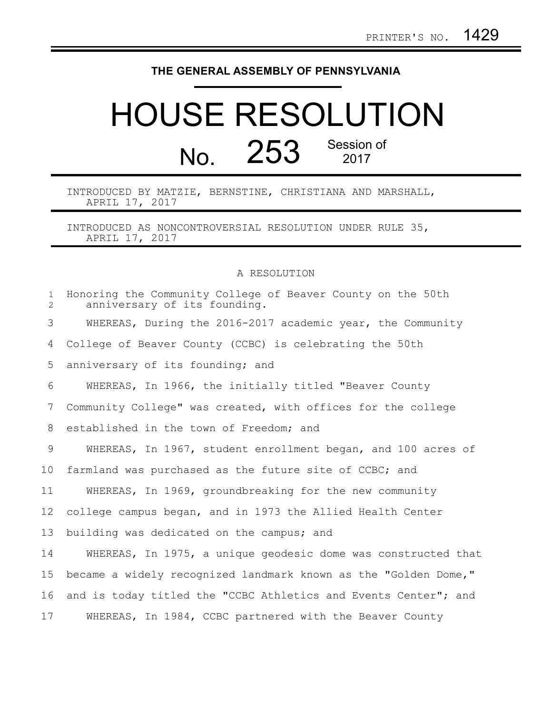## **THE GENERAL ASSEMBLY OF PENNSYLVANIA**

## HOUSE RESOLUTION No. 253 Session of

INTRODUCED BY MATZIE, BERNSTINE, CHRISTIANA AND MARSHALL, APRIL 17, 2017

INTRODUCED AS NONCONTROVERSIAL RESOLUTION UNDER RULE 35, APRIL 17, 2017

A RESOLUTION

| $\mathbf{1}$<br>$\overline{2}$ | Honoring the Community College of Beaver County on the 50th<br>anniversary of its founding. |
|--------------------------------|---------------------------------------------------------------------------------------------|
| 3                              | WHEREAS, During the 2016-2017 academic year, the Community                                  |
| 4                              | College of Beaver County (CCBC) is celebrating the 50th                                     |
| 5                              | anniversary of its founding; and                                                            |
| 6                              | WHEREAS, In 1966, the initially titled "Beaver County                                       |
| 7                              | Community College" was created, with offices for the college                                |
| 8                              | established in the town of Freedom; and                                                     |
| 9                              | WHEREAS, In 1967, student enrollment began, and 100 acres of                                |
| 10                             | farmland was purchased as the future site of CCBC; and                                      |
| 11                             | WHEREAS, In 1969, groundbreaking for the new community                                      |
| 12                             | college campus began, and in 1973 the Allied Health Center                                  |
| 13                             | building was dedicated on the campus; and                                                   |
| 14                             | WHEREAS, In 1975, a unique geodesic dome was constructed that                               |
| 15                             | became a widely recognized landmark known as the "Golden Dome,"                             |
| 16                             | and is today titled the "CCBC Athletics and Events Center"; and                             |
| 17                             | WHEREAS, In 1984, CCBC partnered with the Beaver County                                     |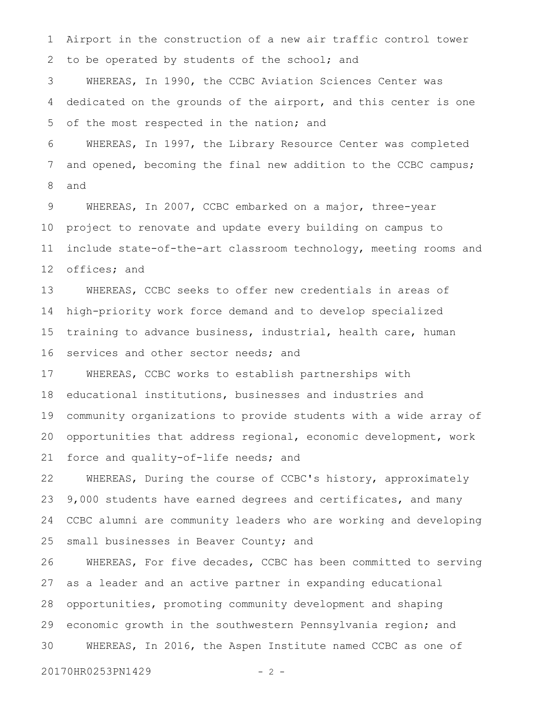Airport in the construction of a new air traffic control tower to be operated by students of the school; and 1 2

WHEREAS, In 1990, the CCBC Aviation Sciences Center was dedicated on the grounds of the airport, and this center is one of the most respected in the nation; and 3 4 5

WHEREAS, In 1997, the Library Resource Center was completed and opened, becoming the final new addition to the CCBC campus; and 6 7 8

WHEREAS, In 2007, CCBC embarked on a major, three-year project to renovate and update every building on campus to include state-of-the-art classroom technology, meeting rooms and offices; and 9 10 11 12

WHEREAS, CCBC seeks to offer new credentials in areas of high-priority work force demand and to develop specialized training to advance business, industrial, health care, human services and other sector needs; and 13 14 15 16

WHEREAS, CCBC works to establish partnerships with educational institutions, businesses and industries and community organizations to provide students with a wide array of opportunities that address regional, economic development, work force and quality-of-life needs; and 17 18 19 20 21

WHEREAS, During the course of CCBC's history, approximately 9,000 students have earned degrees and certificates, and many CCBC alumni are community leaders who are working and developing small businesses in Beaver County; and 22 23 24 25

WHEREAS, For five decades, CCBC has been committed to serving as a leader and an active partner in expanding educational opportunities, promoting community development and shaping economic growth in the southwestern Pennsylvania region; and WHEREAS, In 2016, the Aspen Institute named CCBC as one of 26 27 28 29 30

20170HR0253PN1429 - 2 -